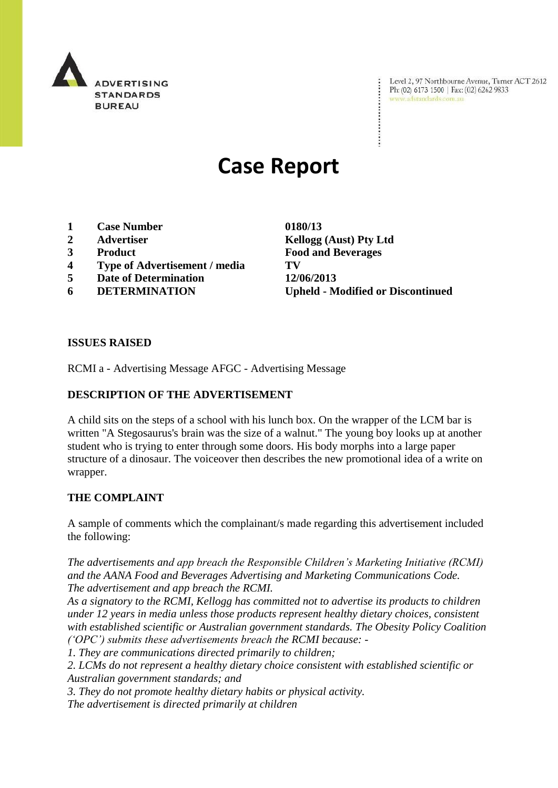

Level 2, 97 Northbourne Avenue, Turner ACT 2612 Ph: (02) 6173 1500 | Fax: (02) 6262 9833 www.adstandards.com.au

# **Case Report**

- **1 Case Number 0180/13**
- 
- 
- **4 Type of Advertisement / media TV**
- **5 Date of Determination 12/06/2013**
- 

**2 Advertiser Kellogg (Aust) Pty Ltd 3 Product Food and Beverages 6 DETERMINATION Upheld - Modified or Discontinued**

#### **ISSUES RAISED**

RCMI a - Advertising Message AFGC - Advertising Message

## **DESCRIPTION OF THE ADVERTISEMENT**

A child sits on the steps of a school with his lunch box. On the wrapper of the LCM bar is written "A Stegosaurus's brain was the size of a walnut." The young boy looks up at another student who is trying to enter through some doors. His body morphs into a large paper structure of a dinosaur. The voiceover then describes the new promotional idea of a write on wrapper.

#### **THE COMPLAINT**

A sample of comments which the complainant/s made regarding this advertisement included the following:

*The advertisements and app breach the Responsible Children"s Marketing Initiative (RCMI) and the AANA Food and Beverages Advertising and Marketing Communications Code. The advertisement and app breach the RCMI.*

*As a signatory to the RCMI, Kellogg has committed not to advertise its products to children under 12 years in media unless those products represent healthy dietary choices, consistent with established scientific or Australian government standards. The Obesity Policy Coalition ("OPC") submits these advertisements breach the RCMI because: -*

*1. They are communications directed primarily to children;*

*2. LCMs do not represent a healthy dietary choice consistent with established scientific or Australian government standards; and*

*3. They do not promote healthy dietary habits or physical activity.*

*The advertisement is directed primarily at children*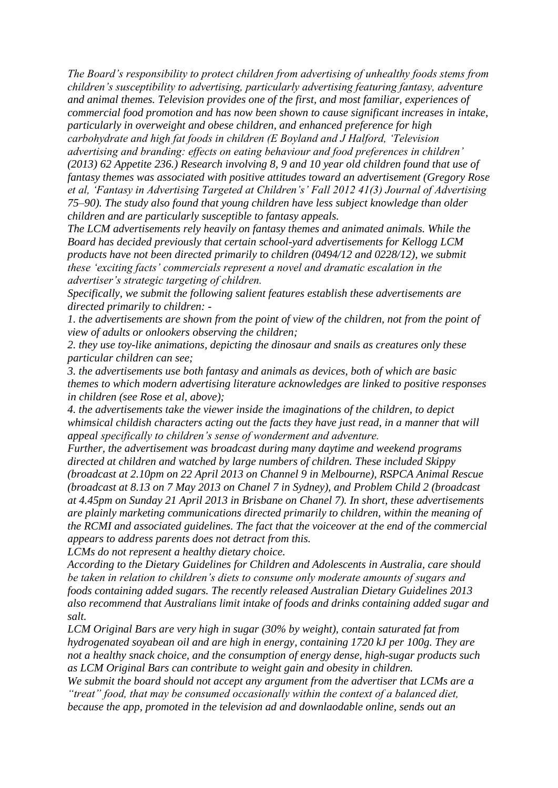*The Board"s responsibility to protect children from advertising of unhealthy foods stems from children"s susceptibility to advertising, particularly advertising featuring fantasy, adventure and animal themes. Television provides one of the first, and most familiar, experiences of commercial food promotion and has now been shown to cause significant increases in intake, particularly in overweight and obese children, and enhanced preference for high carbohydrate and high fat foods in children (E Boyland and J Halford, "Television advertising and branding: effects on eating behaviour and food preferences in children" (2013) 62 Appetite 236.) Research involving 8, 9 and 10 year old children found that use of fantasy themes was associated with positive attitudes toward an advertisement (Gregory Rose et al, "Fantasy in Advertising Targeted at Children"s" Fall 2012 41(3) Journal of Advertising 75–90). The study also found that young children have less subject knowledge than older children and are particularly susceptible to fantasy appeals.*

*The LCM advertisements rely heavily on fantasy themes and animated animals. While the Board has decided previously that certain school-yard advertisements for Kellogg LCM products have not been directed primarily to children (0494/12 and 0228/12), we submit these "exciting facts" commercials represent a novel and dramatic escalation in the advertiser"s strategic targeting of children.*

*Specifically, we submit the following salient features establish these advertisements are directed primarily to children: -*

*1. the advertisements are shown from the point of view of the children, not from the point of view of adults or onlookers observing the children;*

*2. they use toy-like animations, depicting the dinosaur and snails as creatures only these particular children can see;*

*3. the advertisements use both fantasy and animals as devices, both of which are basic themes to which modern advertising literature acknowledges are linked to positive responses in children (see Rose et al, above);*

*4. the advertisements take the viewer inside the imaginations of the children, to depict whimsical childish characters acting out the facts they have just read, in a manner that will appeal specifically to children"s sense of wonderment and adventure.*

*Further, the advertisement was broadcast during many daytime and weekend programs directed at children and watched by large numbers of children. These included Skippy (broadcast at 2.10pm on 22 April 2013 on Channel 9 in Melbourne), RSPCA Animal Rescue (broadcast at 8.13 on 7 May 2013 on Chanel 7 in Sydney), and Problem Child 2 (broadcast at 4.45pm on Sunday 21 April 2013 in Brisbane on Chanel 7). In short, these advertisements are plainly marketing communications directed primarily to children, within the meaning of the RCMI and associated guidelines. The fact that the voiceover at the end of the commercial appears to address parents does not detract from this.*

*LCMs do not represent a healthy dietary choice.*

*According to the Dietary Guidelines for Children and Adolescents in Australia, care should be taken in relation to children"s diets to consume only moderate amounts of sugars and foods containing added sugars. The recently released Australian Dietary Guidelines 2013 also recommend that Australians limit intake of foods and drinks containing added sugar and salt.*

*LCM Original Bars are very high in sugar (30% by weight), contain saturated fat from hydrogenated soyabean oil and are high in energy, containing 1720 kJ per 100g. They are not a healthy snack choice, and the consumption of energy dense, high-sugar products such as LCM Original Bars can contribute to weight gain and obesity in children.*

*We submit the board should not accept any argument from the advertiser that LCMs are a "treat" food, that may be consumed occasionally within the context of a balanced diet, because the app, promoted in the television ad and downlaodable online, sends out an*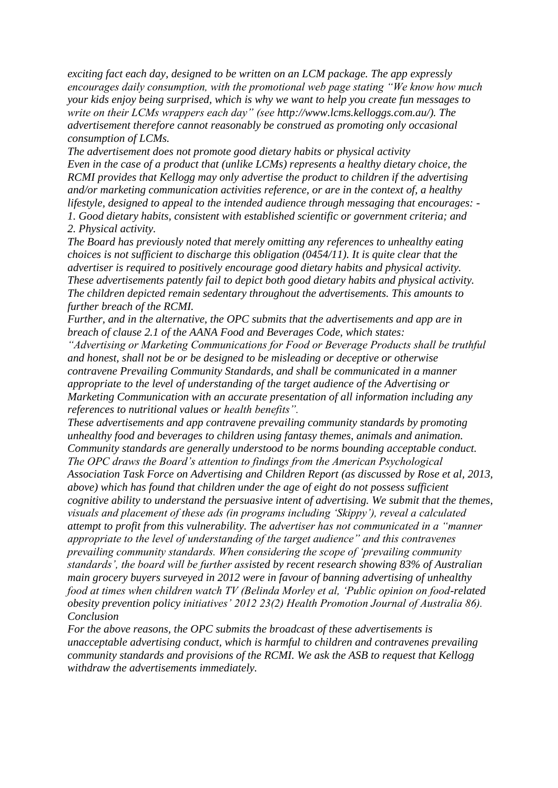*exciting fact each day, designed to be written on an LCM package. The app expressly encourages daily consumption, with the promotional web page stating "We know how much your kids enjoy being surprised, which is why we want to help you create fun messages to write on their LCMs wrappers each day" (see http://www.lcms.kelloggs.com.au/). The advertisement therefore cannot reasonably be construed as promoting only occasional consumption of LCMs.*

*The advertisement does not promote good dietary habits or physical activity Even in the case of a product that (unlike LCMs) represents a healthy dietary choice, the RCMI provides that Kellogg may only advertise the product to children if the advertising and/or marketing communication activities reference, or are in the context of, a healthy lifestyle, designed to appeal to the intended audience through messaging that encourages: - 1. Good dietary habits, consistent with established scientific or government criteria; and 2. Physical activity.*

*The Board has previously noted that merely omitting any references to unhealthy eating choices is not sufficient to discharge this obligation (0454/11). It is quite clear that the advertiser is required to positively encourage good dietary habits and physical activity. These advertisements patently fail to depict both good dietary habits and physical activity. The children depicted remain sedentary throughout the advertisements. This amounts to further breach of the RCMI.*

*Further, and in the alternative, the OPC submits that the advertisements and app are in breach of clause 2.1 of the AANA Food and Beverages Code, which states:*

*"Advertising or Marketing Communications for Food or Beverage Products shall be truthful and honest, shall not be or be designed to be misleading or deceptive or otherwise contravene Prevailing Community Standards, and shall be communicated in a manner appropriate to the level of understanding of the target audience of the Advertising or Marketing Communication with an accurate presentation of all information including any references to nutritional values or health benefits".*

*These advertisements and app contravene prevailing community standards by promoting unhealthy food and beverages to children using fantasy themes, animals and animation. Community standards are generally understood to be norms bounding acceptable conduct. The OPC draws the Board"s attention to findings from the American Psychological Association Task Force on Advertising and Children Report (as discussed by Rose et al, 2013, above) which has found that children under the age of eight do not possess sufficient cognitive ability to understand the persuasive intent of advertising. We submit that the themes, visuals and placement of these ads (in programs including "Skippy"), reveal a calculated attempt to profit from this vulnerability. The advertiser has not communicated in a "manner appropriate to the level of understanding of the target audience" and this contravenes prevailing community standards. When considering the scope of "prevailing community standards", the board will be further assisted by recent research showing 83% of Australian main grocery buyers surveyed in 2012 were in favour of banning advertising of unhealthy food at times when children watch TV (Belinda Morley et al, "Public opinion on food-related obesity prevention policy initiatives" 2012 23(2) Health Promotion Journal of Australia 86). Conclusion*

*For the above reasons, the OPC submits the broadcast of these advertisements is unacceptable advertising conduct, which is harmful to children and contravenes prevailing community standards and provisions of the RCMI. We ask the ASB to request that Kellogg withdraw the advertisements immediately.*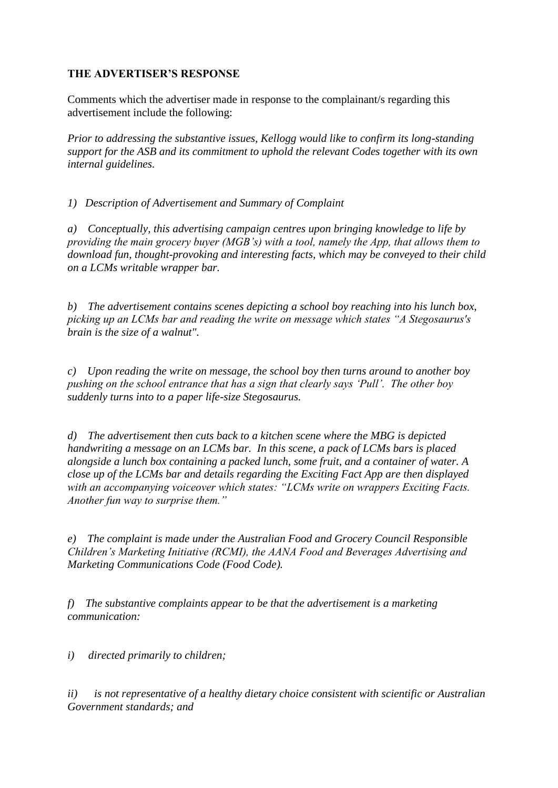## **THE ADVERTISER'S RESPONSE**

Comments which the advertiser made in response to the complainant/s regarding this advertisement include the following:

*Prior to addressing the substantive issues, Kellogg would like to confirm its long-standing support for the ASB and its commitment to uphold the relevant Codes together with its own internal guidelines.*

*1) Description of Advertisement and Summary of Complaint*

*a) Conceptually, this advertising campaign centres upon bringing knowledge to life by providing the main grocery buyer (MGB"s) with a tool, namely the App, that allows them to download fun, thought-provoking and interesting facts, which may be conveyed to their child on a LCMs writable wrapper bar.* 

*b) The advertisement contains scenes depicting a school boy reaching into his lunch box, picking up an LCMs bar and reading the write on message which states "A Stegosaurus's brain is the size of a walnut".*

*c) Upon reading the write on message, the school boy then turns around to another boy pushing on the school entrance that has a sign that clearly says "Pull". The other boy suddenly turns into to a paper life-size Stegosaurus.* 

*d) The advertisement then cuts back to a kitchen scene where the MBG is depicted handwriting a message on an LCMs bar. In this scene, a pack of LCMs bars is placed alongside a lunch box containing a packed lunch, some fruit, and a container of water. A close up of the LCMs bar and details regarding the Exciting Fact App are then displayed with an accompanying voiceover which states: "LCMs write on wrappers Exciting Facts. Another fun way to surprise them."* 

*e) The complaint is made under the Australian Food and Grocery Council Responsible Children"s Marketing Initiative (RCMI), the AANA Food and Beverages Advertising and Marketing Communications Code (Food Code).* 

*f) The substantive complaints appear to be that the advertisement is a marketing communication:*

*i) directed primarily to children;*

*ii) is not representative of a healthy dietary choice consistent with scientific or Australian Government standards; and*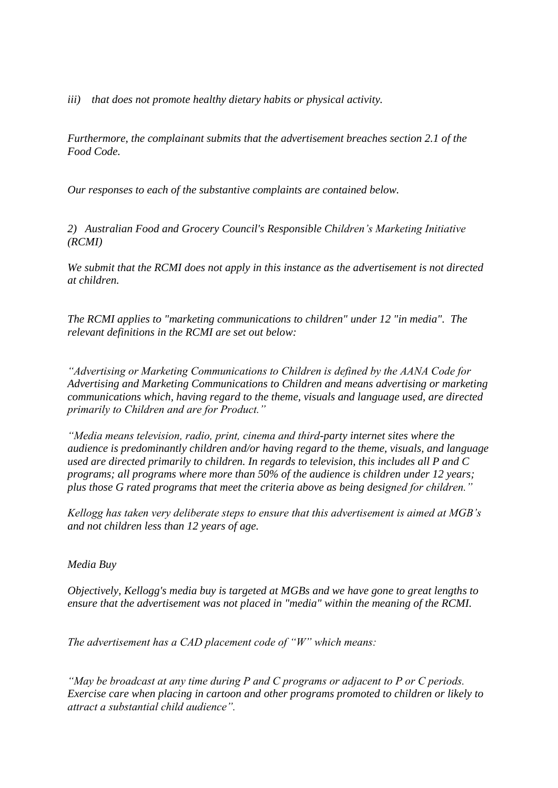*iii) that does not promote healthy dietary habits or physical activity.* 

*Furthermore, the complainant submits that the advertisement breaches section 2.1 of the Food Code.* 

*Our responses to each of the substantive complaints are contained below.* 

*2) Australian Food and Grocery Council's Responsible Children"s Marketing Initiative (RCMI)* 

*We submit that the RCMI does not apply in this instance as the advertisement is not directed at children.* 

*The RCMI applies to "marketing communications to children" under 12 "in media". The relevant definitions in the RCMI are set out below:*

*"Advertising or Marketing Communications to Children is defined by the AANA Code for Advertising and Marketing Communications to Children and means advertising or marketing communications which, having regard to the theme, visuals and language used, are directed primarily to Children and are for Product."*

*"Media means television, radio, print, cinema and third-party internet sites where the audience is predominantly children and/or having regard to the theme, visuals, and language used are directed primarily to children. In regards to television, this includes all P and C programs; all programs where more than 50% of the audience is children under 12 years; plus those G rated programs that meet the criteria above as being designed for children."*

*Kellogg has taken very deliberate steps to ensure that this advertisement is aimed at MGB"s and not children less than 12 years of age.* 

#### *Media Buy*

*Objectively, Kellogg's media buy is targeted at MGBs and we have gone to great lengths to ensure that the advertisement was not placed in "media" within the meaning of the RCMI.*

*The advertisement has a CAD placement code of "W" which means:*

*"May be broadcast at any time during P and C programs or adjacent to P or C periods. Exercise care when placing in cartoon and other programs promoted to children or likely to attract a substantial child audience".*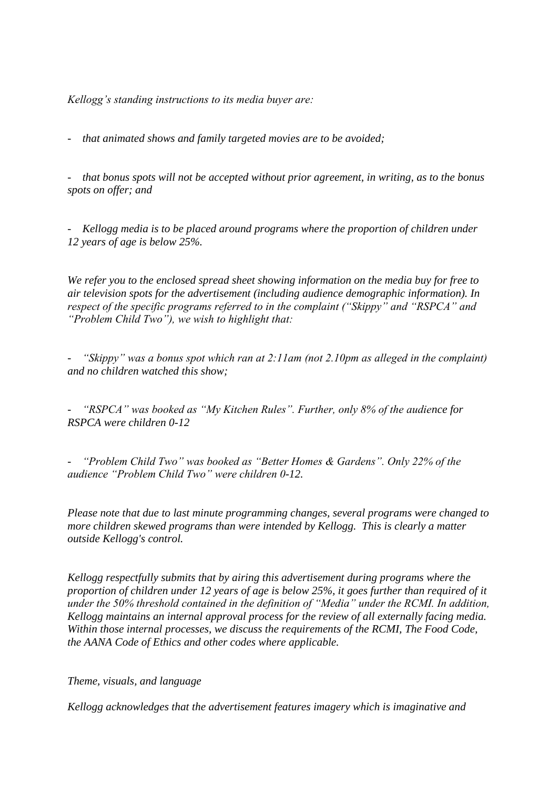*Kellogg"s standing instructions to its media buyer are:*

*- that animated shows and family targeted movies are to be avoided;*

*- that bonus spots will not be accepted without prior agreement, in writing, as to the bonus spots on offer; and* 

*-* Kellogg media is to be placed around programs where the proportion of children under *12 years of age is below 25%.* 

*We refer you to the enclosed spread sheet showing information on the media buy for free to air television spots for the advertisement (including audience demographic information). In respect of the specific programs referred to in the complaint ("Skippy" and "RSPCA" and "Problem Child Two"), we wish to highlight that:*

*- "Skippy" was a bonus spot which ran at 2:11am (not 2.10pm as alleged in the complaint) and no children watched this show;* 

*- "RSPCA" was booked as "My Kitchen Rules". Further, only 8% of the audience for RSPCA were children 0-12* 

*- "Problem Child Two" was booked as "Better Homes & Gardens". Only 22% of the audience "Problem Child Two" were children 0-12.* 

*Please note that due to last minute programming changes, several programs were changed to more children skewed programs than were intended by Kellogg. This is clearly a matter outside Kellogg's control.* 

*Kellogg respectfully submits that by airing this advertisement during programs where the proportion of children under 12 years of age is below 25%, it goes further than required of it under the 50% threshold contained in the definition of "Media" under the RCMI. In addition, Kellogg maintains an internal approval process for the review of all externally facing media. Within those internal processes, we discuss the requirements of the RCMI, The Food Code, the AANA Code of Ethics and other codes where applicable.*

*Theme, visuals, and language* 

*Kellogg acknowledges that the advertisement features imagery which is imaginative and*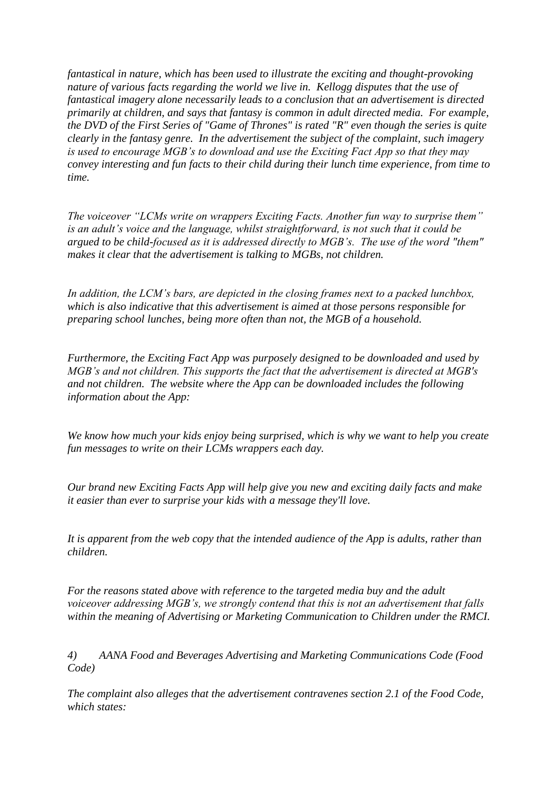*fantastical in nature, which has been used to illustrate the exciting and thought-provoking nature of various facts regarding the world we live in. Kellogg disputes that the use of fantastical imagery alone necessarily leads to a conclusion that an advertisement is directed primarily at children, and says that fantasy is common in adult directed media. For example, the DVD of the First Series of "Game of Thrones" is rated "R" even though the series is quite clearly in the fantasy genre. In the advertisement the subject of the complaint, such imagery is used to encourage MGB"s to download and use the Exciting Fact App so that they may convey interesting and fun facts to their child during their lunch time experience, from time to time.* 

*The voiceover "LCMs write on wrappers Exciting Facts. Another fun way to surprise them" is an adult"s voice and the language, whilst straightforward, is not such that it could be argued to be child-focused as it is addressed directly to MGB"s. The use of the word "them" makes it clear that the advertisement is talking to MGBs, not children.*

*In addition, the LCM"s bars, are depicted in the closing frames next to a packed lunchbox, which is also indicative that this advertisement is aimed at those persons responsible for preparing school lunches, being more often than not, the MGB of a household.*

*Furthermore, the Exciting Fact App was purposely designed to be downloaded and used by MGB"s and not children. This supports the fact that the advertisement is directed at MGB's and not children. The website where the App can be downloaded includes the following information about the App:*

*We know how much your kids enjoy being surprised, which is why we want to help you create fun messages to write on their LCMs wrappers each day.*

*Our brand new Exciting Facts App will help give you new and exciting daily facts and make it easier than ever to surprise your kids with a message they'll love.*

*It is apparent from the web copy that the intended audience of the App is adults, rather than children.*

*For the reasons stated above with reference to the targeted media buy and the adult voiceover addressing MGB"s, we strongly contend that this is not an advertisement that falls within the meaning of Advertising or Marketing Communication to Children under the RMCI.* 

*4) AANA Food and Beverages Advertising and Marketing Communications Code (Food Code)*

*The complaint also alleges that the advertisement contravenes section 2.1 of the Food Code, which states:*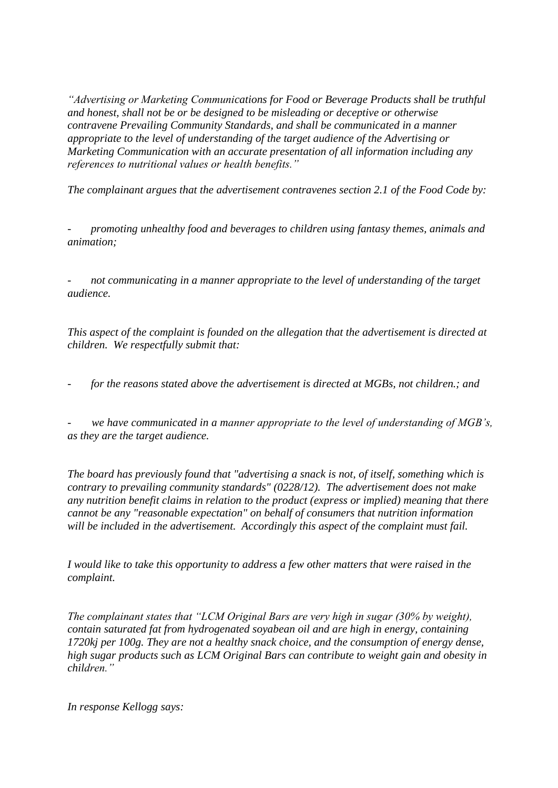*"Advertising or Marketing Communications for Food or Beverage Products shall be truthful and honest, shall not be or be designed to be misleading or deceptive or otherwise contravene Prevailing Community Standards, and shall be communicated in a manner appropriate to the level of understanding of the target audience of the Advertising or Marketing Communication with an accurate presentation of all information including any references to nutritional values or health benefits."*

*The complainant argues that the advertisement contravenes section 2.1 of the Food Code by:*

*- promoting unhealthy food and beverages to children using fantasy themes, animals and animation;*

*- not communicating in a manner appropriate to the level of understanding of the target audience.*

*This aspect of the complaint is founded on the allegation that the advertisement is directed at children. We respectfully submit that:*

*- for the reasons stated above the advertisement is directed at MGBs, not children.; and*

*- we have communicated in a manner appropriate to the level of understanding of MGB"s, as they are the target audience.*

*The board has previously found that "advertising a snack is not, of itself, something which is contrary to prevailing community standards" (0228/12). The advertisement does not make any nutrition benefit claims in relation to the product (express or implied) meaning that there cannot be any "reasonable expectation" on behalf of consumers that nutrition information will be included in the advertisement. Accordingly this aspect of the complaint must fail.*

*I would like to take this opportunity to address a few other matters that were raised in the complaint.* 

*The complainant states that "LCM Original Bars are very high in sugar (30% by weight), contain saturated fat from hydrogenated soyabean oil and are high in energy, containing 1720kj per 100g. They are not a healthy snack choice, and the consumption of energy dense, high sugar products such as LCM Original Bars can contribute to weight gain and obesity in children."* 

*In response Kellogg says:*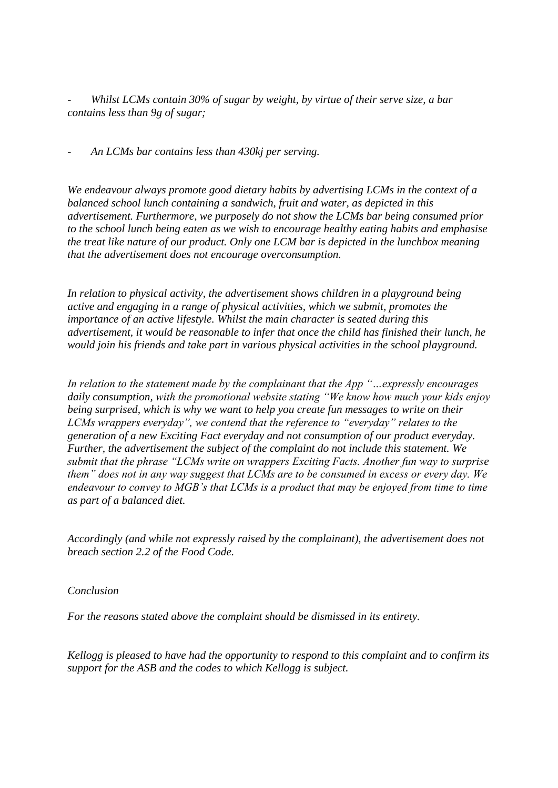*- Whilst LCMs contain 30% of sugar by weight, by virtue of their serve size, a bar contains less than 9g of sugar;*

*- An LCMs bar contains less than 430kj per serving.*

*We endeavour always promote good dietary habits by advertising LCMs in the context of a balanced school lunch containing a sandwich, fruit and water, as depicted in this advertisement. Furthermore, we purposely do not show the LCMs bar being consumed prior to the school lunch being eaten as we wish to encourage healthy eating habits and emphasise the treat like nature of our product. Only one LCM bar is depicted in the lunchbox meaning that the advertisement does not encourage overconsumption.*

*In relation to physical activity, the advertisement shows children in a playground being active and engaging in a range of physical activities, which we submit, promotes the importance of an active lifestyle. Whilst the main character is seated during this advertisement, it would be reasonable to infer that once the child has finished their lunch, he would join his friends and take part in various physical activities in the school playground.* 

*In relation to the statement made by the complainant that the App "…expressly encourages daily consumption, with the promotional website stating "We know how much your kids enjoy being surprised, which is why we want to help you create fun messages to write on their LCMs wrappers everyday", we contend that the reference to "everyday" relates to the generation of a new Exciting Fact everyday and not consumption of our product everyday. Further, the advertisement the subject of the complaint do not include this statement. We submit that the phrase "LCMs write on wrappers Exciting Facts. Another fun way to surprise them" does not in any way suggest that LCMs are to be consumed in excess or every day. We endeavour to convey to MGB"s that LCMs is a product that may be enjoyed from time to time as part of a balanced diet.* 

*Accordingly (and while not expressly raised by the complainant), the advertisement does not breach section 2.2 of the Food Code.*

*Conclusion* 

*For the reasons stated above the complaint should be dismissed in its entirety.* 

*Kellogg is pleased to have had the opportunity to respond to this complaint and to confirm its support for the ASB and the codes to which Kellogg is subject.*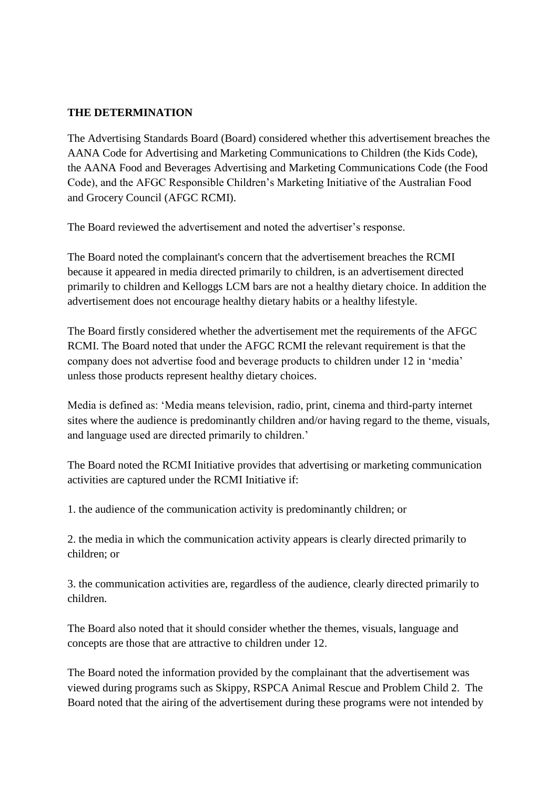#### **THE DETERMINATION**

The Advertising Standards Board (Board) considered whether this advertisement breaches the AANA Code for Advertising and Marketing Communications to Children (the Kids Code), the AANA Food and Beverages Advertising and Marketing Communications Code (the Food Code), and the AFGC Responsible Children"s Marketing Initiative of the Australian Food and Grocery Council (AFGC RCMI).

The Board reviewed the advertisement and noted the advertiser"s response.

The Board noted the complainant's concern that the advertisement breaches the RCMI because it appeared in media directed primarily to children, is an advertisement directed primarily to children and Kelloggs LCM bars are not a healthy dietary choice. In addition the advertisement does not encourage healthy dietary habits or a healthy lifestyle.

The Board firstly considered whether the advertisement met the requirements of the AFGC RCMI. The Board noted that under the AFGC RCMI the relevant requirement is that the company does not advertise food and beverage products to children under 12 in "media" unless those products represent healthy dietary choices.

Media is defined as: "Media means television, radio, print, cinema and third-party internet sites where the audience is predominantly children and/or having regard to the theme, visuals, and language used are directed primarily to children."

The Board noted the RCMI Initiative provides that advertising or marketing communication activities are captured under the RCMI Initiative if:

1. the audience of the communication activity is predominantly children; or

2. the media in which the communication activity appears is clearly directed primarily to children; or

3. the communication activities are, regardless of the audience, clearly directed primarily to children.

The Board also noted that it should consider whether the themes, visuals, language and concepts are those that are attractive to children under 12.

The Board noted the information provided by the complainant that the advertisement was viewed during programs such as Skippy, RSPCA Animal Rescue and Problem Child 2. The Board noted that the airing of the advertisement during these programs were not intended by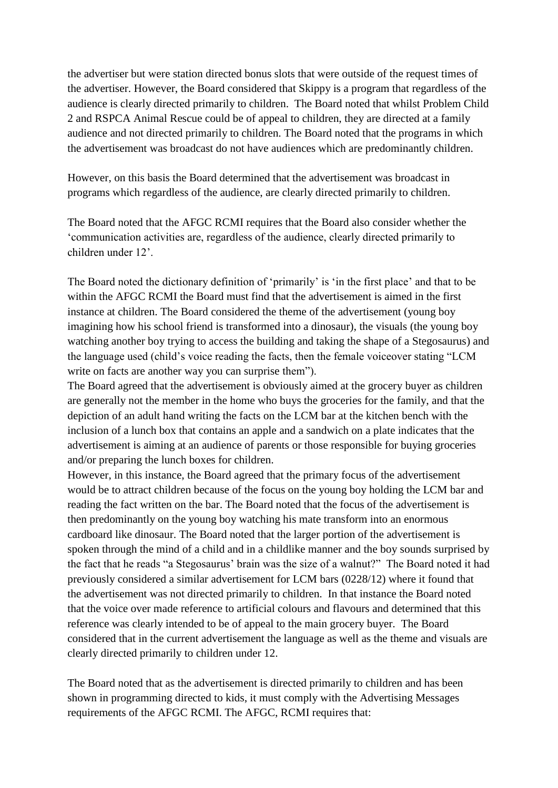the advertiser but were station directed bonus slots that were outside of the request times of the advertiser. However, the Board considered that Skippy is a program that regardless of the audience is clearly directed primarily to children. The Board noted that whilst Problem Child 2 and RSPCA Animal Rescue could be of appeal to children, they are directed at a family audience and not directed primarily to children. The Board noted that the programs in which the advertisement was broadcast do not have audiences which are predominantly children.

However, on this basis the Board determined that the advertisement was broadcast in programs which regardless of the audience, are clearly directed primarily to children.

The Board noted that the AFGC RCMI requires that the Board also consider whether the "communication activities are, regardless of the audience, clearly directed primarily to children under 12".

The Board noted the dictionary definition of 'primarily' is 'in the first place' and that to be within the AFGC RCMI the Board must find that the advertisement is aimed in the first instance at children. The Board considered the theme of the advertisement (young boy imagining how his school friend is transformed into a dinosaur), the visuals (the young boy watching another boy trying to access the building and taking the shape of a Stegosaurus) and the language used (child"s voice reading the facts, then the female voiceover stating "LCM write on facts are another way you can surprise them").

The Board agreed that the advertisement is obviously aimed at the grocery buyer as children are generally not the member in the home who buys the groceries for the family, and that the depiction of an adult hand writing the facts on the LCM bar at the kitchen bench with the inclusion of a lunch box that contains an apple and a sandwich on a plate indicates that the advertisement is aiming at an audience of parents or those responsible for buying groceries and/or preparing the lunch boxes for children.

However, in this instance, the Board agreed that the primary focus of the advertisement would be to attract children because of the focus on the young boy holding the LCM bar and reading the fact written on the bar. The Board noted that the focus of the advertisement is then predominantly on the young boy watching his mate transform into an enormous cardboard like dinosaur. The Board noted that the larger portion of the advertisement is spoken through the mind of a child and in a childlike manner and the boy sounds surprised by the fact that he reads "a Stegosaurus" brain was the size of a walnut?" The Board noted it had previously considered a similar advertisement for LCM bars (0228/12) where it found that the advertisement was not directed primarily to children. In that instance the Board noted that the voice over made reference to artificial colours and flavours and determined that this reference was clearly intended to be of appeal to the main grocery buyer. The Board considered that in the current advertisement the language as well as the theme and visuals are clearly directed primarily to children under 12.

The Board noted that as the advertisement is directed primarily to children and has been shown in programming directed to kids, it must comply with the Advertising Messages requirements of the AFGC RCMI. The AFGC, RCMI requires that: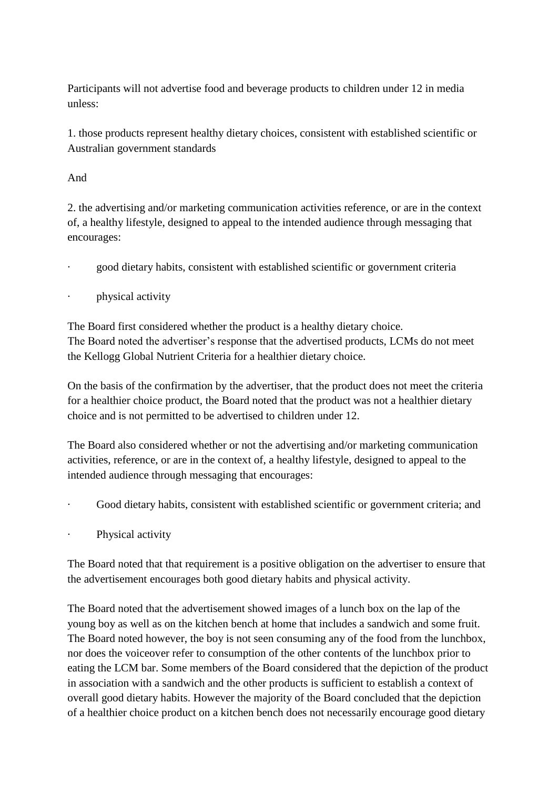Participants will not advertise food and beverage products to children under 12 in media unless:

1. those products represent healthy dietary choices, consistent with established scientific or Australian government standards

## And

2. the advertising and/or marketing communication activities reference, or are in the context of, a healthy lifestyle, designed to appeal to the intended audience through messaging that encourages:

· good dietary habits, consistent with established scientific or government criteria

## physical activity

The Board first considered whether the product is a healthy dietary choice. The Board noted the advertiser"s response that the advertised products, LCMs do not meet the Kellogg Global Nutrient Criteria for a healthier dietary choice.

On the basis of the confirmation by the advertiser, that the product does not meet the criteria for a healthier choice product, the Board noted that the product was not a healthier dietary choice and is not permitted to be advertised to children under 12.

The Board also considered whether or not the advertising and/or marketing communication activities, reference, or are in the context of, a healthy lifestyle, designed to appeal to the intended audience through messaging that encourages:

- Good dietary habits, consistent with established scientific or government criteria; and
- Physical activity

The Board noted that that requirement is a positive obligation on the advertiser to ensure that the advertisement encourages both good dietary habits and physical activity.

The Board noted that the advertisement showed images of a lunch box on the lap of the young boy as well as on the kitchen bench at home that includes a sandwich and some fruit. The Board noted however, the boy is not seen consuming any of the food from the lunchbox, nor does the voiceover refer to consumption of the other contents of the lunchbox prior to eating the LCM bar. Some members of the Board considered that the depiction of the product in association with a sandwich and the other products is sufficient to establish a context of overall good dietary habits. However the majority of the Board concluded that the depiction of a healthier choice product on a kitchen bench does not necessarily encourage good dietary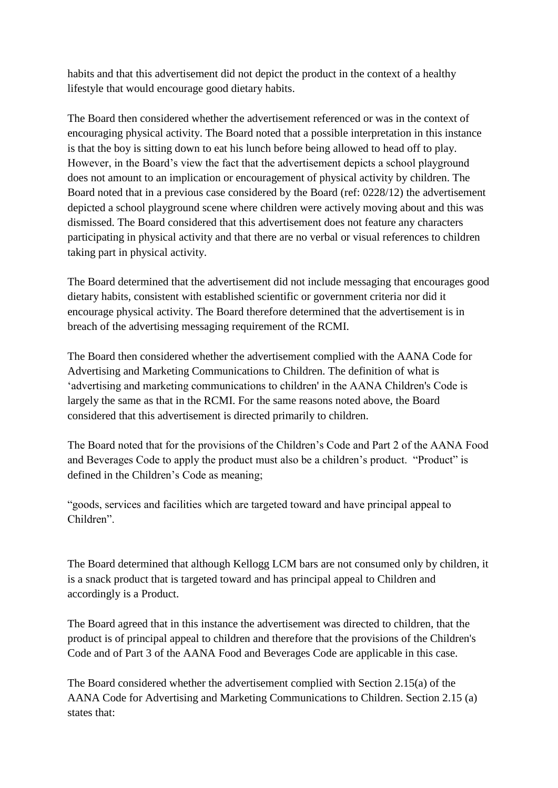habits and that this advertisement did not depict the product in the context of a healthy lifestyle that would encourage good dietary habits.

The Board then considered whether the advertisement referenced or was in the context of encouraging physical activity. The Board noted that a possible interpretation in this instance is that the boy is sitting down to eat his lunch before being allowed to head off to play. However, in the Board"s view the fact that the advertisement depicts a school playground does not amount to an implication or encouragement of physical activity by children. The Board noted that in a previous case considered by the Board (ref: 0228/12) the advertisement depicted a school playground scene where children were actively moving about and this was dismissed. The Board considered that this advertisement does not feature any characters participating in physical activity and that there are no verbal or visual references to children taking part in physical activity.

The Board determined that the advertisement did not include messaging that encourages good dietary habits, consistent with established scientific or government criteria nor did it encourage physical activity. The Board therefore determined that the advertisement is in breach of the advertising messaging requirement of the RCMI.

The Board then considered whether the advertisement complied with the AANA Code for Advertising and Marketing Communications to Children. The definition of what is 'advertising and marketing communications to children' in the AANA Children's Code is largely the same as that in the RCMI. For the same reasons noted above, the Board considered that this advertisement is directed primarily to children.

The Board noted that for the provisions of the Children"s Code and Part 2 of the AANA Food and Beverages Code to apply the product must also be a children"s product. "Product" is defined in the Children"s Code as meaning;

"goods, services and facilities which are targeted toward and have principal appeal to Children".

The Board determined that although Kellogg LCM bars are not consumed only by children, it is a snack product that is targeted toward and has principal appeal to Children and accordingly is a Product.

The Board agreed that in this instance the advertisement was directed to children, that the product is of principal appeal to children and therefore that the provisions of the Children's Code and of Part 3 of the AANA Food and Beverages Code are applicable in this case.

The Board considered whether the advertisement complied with Section 2.15(a) of the AANA Code for Advertising and Marketing Communications to Children. Section 2.15 (a) states that: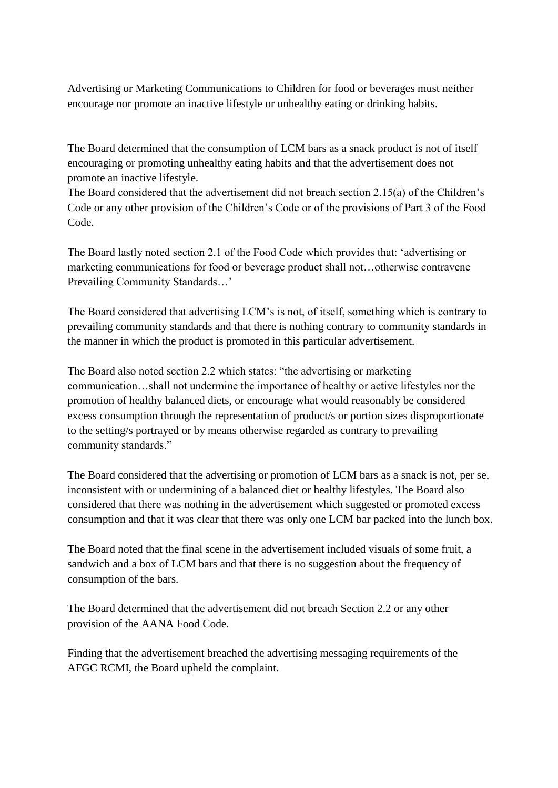Advertising or Marketing Communications to Children for food or beverages must neither encourage nor promote an inactive lifestyle or unhealthy eating or drinking habits.

The Board determined that the consumption of LCM bars as a snack product is not of itself encouraging or promoting unhealthy eating habits and that the advertisement does not promote an inactive lifestyle.

The Board considered that the advertisement did not breach section 2.15(a) of the Children"s Code or any other provision of the Children"s Code or of the provisions of Part 3 of the Food Code.

The Board lastly noted section 2.1 of the Food Code which provides that: "advertising or marketing communications for food or beverage product shall not…otherwise contravene Prevailing Community Standards…"

The Board considered that advertising LCM"s is not, of itself, something which is contrary to prevailing community standards and that there is nothing contrary to community standards in the manner in which the product is promoted in this particular advertisement.

The Board also noted section 2.2 which states: "the advertising or marketing communication…shall not undermine the importance of healthy or active lifestyles nor the promotion of healthy balanced diets, or encourage what would reasonably be considered excess consumption through the representation of product/s or portion sizes disproportionate to the setting/s portrayed or by means otherwise regarded as contrary to prevailing community standards."

The Board considered that the advertising or promotion of LCM bars as a snack is not, per se, inconsistent with or undermining of a balanced diet or healthy lifestyles. The Board also considered that there was nothing in the advertisement which suggested or promoted excess consumption and that it was clear that there was only one LCM bar packed into the lunch box.

The Board noted that the final scene in the advertisement included visuals of some fruit, a sandwich and a box of LCM bars and that there is no suggestion about the frequency of consumption of the bars.

The Board determined that the advertisement did not breach Section 2.2 or any other provision of the AANA Food Code.

Finding that the advertisement breached the advertising messaging requirements of the AFGC RCMI, the Board upheld the complaint.